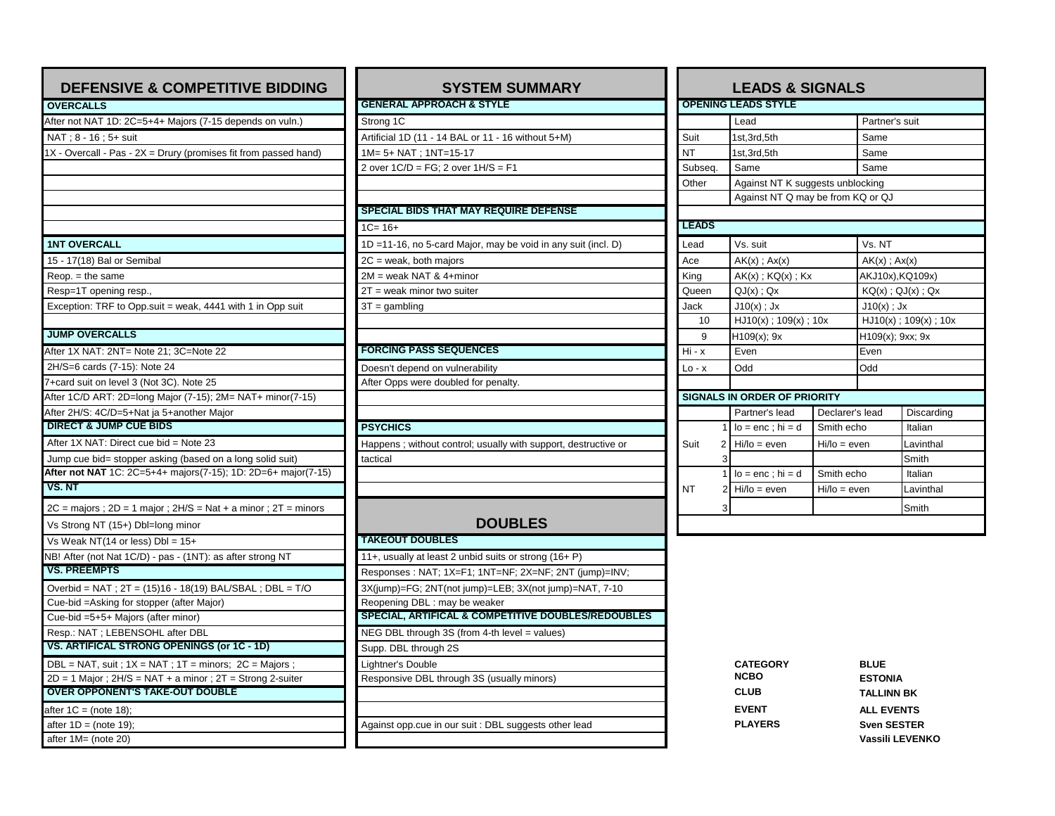| <b>DEFENSIVE &amp; COMPETITIVE BIDDING</b>                              | <b>SYSTEM SUMMARY</b>                                          |                                      | <b>LEADS &amp; SIGNALS</b>                                            |                               |                          |  |
|-------------------------------------------------------------------------|----------------------------------------------------------------|--------------------------------------|-----------------------------------------------------------------------|-------------------------------|--------------------------|--|
| <b>OVERCALLS</b>                                                        | <b>GENERAL APPROACH &amp; STYLE</b>                            |                                      | <b>OPENING LEADS STYLE</b>                                            |                               |                          |  |
| After not NAT 1D: 2C=5+4+ Majors (7-15 depends on vuln.)                | Strong 1C                                                      |                                      | Lead                                                                  |                               | Partner's suit           |  |
| NAT : 8 - 16 : 5+ suit                                                  | Artificial 1D (11 - 14 BAL or 11 - 16 without 5+M)             | Suit                                 | 1st.3rd.5th                                                           |                               | Same                     |  |
| 1X - Overcall - Pas - 2X = Drury (promises fit from passed hand)        | 1M= 5+ NAT : 1NT=15-17                                         | <b>NT</b>                            | 1st,3rd,5th                                                           |                               | Same                     |  |
|                                                                         | 2 over 1C/D = FG; 2 over 1H/S = F1                             | Subseq.                              | Same                                                                  | Same                          |                          |  |
|                                                                         |                                                                | Other                                | Against NT K suggests unblocking<br>Against NT Q may be from KQ or QJ |                               |                          |  |
|                                                                         |                                                                |                                      |                                                                       |                               |                          |  |
|                                                                         | <b>SPECIAL BIDS THAT MAY REQUIRE DEFENSE</b>                   |                                      |                                                                       |                               |                          |  |
|                                                                         | $1C = 16+$                                                     | <b>LEADS</b>                         |                                                                       |                               |                          |  |
| <b>1NT OVERCALL</b>                                                     | 1D =11-16, no 5-card Major, may be void in any suit (incl. D)  | Lead                                 | Vs. suit                                                              | Vs. NT                        |                          |  |
| 15 - 17(18) Bal or Semibal                                              | 2C = weak, both majors                                         | Ace                                  | $AK(x)$ : $Ax(x)$<br>$AK(x)$ ; $Ax(x)$                                |                               |                          |  |
| $Reop. = the same$                                                      | 2M = weak NAT & 4+minor                                        | King                                 | $AK(x)$ ; $KQ(x)$ ; $Kx$                                              |                               | AKJ10x), KQ109x)         |  |
| Resp=1T opening resp.,                                                  | $2T$ = weak minor two suiter                                   | Queen                                | $QJ(x)$ ; $Qx$                                                        |                               | $KQ(x)$ ; $QJ(x)$ ; $Qx$ |  |
| Exception: TRF to Opp.suit = weak, 4441 with 1 in Opp suit              | $3T =$ gambling                                                | Jack                                 | $J10(x)$ ; Jx                                                         |                               | $J10(x)$ ; Jx            |  |
|                                                                         |                                                                | 10                                   | $HJ10(x)$ ; 109(x); 10x                                               |                               | $HJ10(x)$ ; 109(x); 10x  |  |
| <b>JUMP OVERCALLS</b>                                                   |                                                                | 9                                    | $H109(x)$ ; 9x                                                        |                               | H109(x); 9xx; 9x         |  |
| After 1X NAT: 2NT= Note 21: 3C=Note 22                                  | <b>FORCING PASS SEQUENCES</b>                                  | $Hi - x$                             | Even                                                                  | Even                          |                          |  |
| 2H/S=6 cards (7-15): Note 24                                            | Doesn't depend on vulnerability                                | $Lo - x$                             | Odd                                                                   | Odd                           |                          |  |
| 7+card suit on level 3 (Not 3C). Note 25                                | After Opps were doubled for penalty.                           |                                      |                                                                       |                               |                          |  |
| After 1C/D ART: 2D=long Major (7-15); 2M= NAT+ minor(7-15)              |                                                                |                                      | <b>SIGNALS IN ORDER OF PRIORITY</b>                                   |                               |                          |  |
| After 2H/S: 4C/D=5+Nat ja 5+another Major                               |                                                                |                                      | Partner's lead                                                        | Declarer's lead<br>Discarding |                          |  |
| <b>DIRECT &amp; JUMP CUE BIDS</b>                                       | <b>PSYCHICS</b>                                                |                                      | $lo = enc$ ; $hi = d$                                                 | Smith echo<br>Italian         |                          |  |
| After 1X NAT: Direct cue bid = Note 23                                  | Happens; without control; usually with support, destructive or | Suit                                 | $Hi/Io = even$<br>$\mathfrak{p}$                                      | $Hi/Io = even$<br>Lavinthal   |                          |  |
| Jump cue bid= stopper asking (based on a long solid suit)               | tactical                                                       |                                      |                                                                       |                               | Smith                    |  |
| After not NAT 1C: 2C=5+4+ majors(7-15); 1D: 2D=6+ major(7-15)           |                                                                |                                      | $lo = enc$ ; $hi = d$                                                 | Smith echo                    | Italian                  |  |
| VS. NT                                                                  |                                                                | <b>NT</b>                            | $2$ Hi/lo = even                                                      | $Hi/io = even$                | Lavinthal                |  |
| $2C =$ majors ; $2D = 1$ major ; $2H/S = Nat + a$ minor ; $2T =$ minors |                                                                |                                      |                                                                       |                               | Smith                    |  |
| Vs Strong NT (15+) Dbl=long minor                                       | <b>DOUBLES</b>                                                 |                                      |                                                                       |                               |                          |  |
| Vs Weak NT(14 or less) $Db = 15+$                                       | <b>TAKEOUT DOUBLES</b>                                         |                                      |                                                                       |                               |                          |  |
| NB! After (not Nat 1C/D) - pas - (1NT): as after strong NT              | 11+, usually at least 2 unbid suits or strong (16+ P)          |                                      |                                                                       |                               |                          |  |
| <b>VS. PREEMPTS</b>                                                     | Responses: NAT; 1X=F1; 1NT=NF; 2X=NF; 2NT (jump)=INV;          |                                      |                                                                       |                               |                          |  |
| Overbid = NAT ; 2T = (15)16 - 18(19) BAL/SBAL ; DBL = T/O               | 3X(jump)=FG; 2NT(not jump)=LEB; 3X(not jump)=NAT, 7-10         |                                      |                                                                       |                               |                          |  |
| Cue-bid = Asking for stopper (after Major)                              | Reopening DBL : may be weaker                                  |                                      |                                                                       |                               |                          |  |
| Cue-bid =5+5+ Majors (after minor)                                      | <b>SPECIAL, ARTIFICAL &amp; COMPETITIVE DOUBLES/REDOUBLES</b>  |                                      |                                                                       |                               |                          |  |
| Resp.: NAT ; LEBENSOHL after DBL                                        | NEG DBL through 3S (from 4-th level = values)                  |                                      |                                                                       |                               |                          |  |
| VS. ARTIFICAL STRONG OPENINGS (or 1C - 1D)                              | Supp. DBL through 2S                                           |                                      |                                                                       |                               |                          |  |
| DBL = NAT, suit; $1X = NAT$ ; $1T = minors$ ; $2C = Majors$ ;           | Lightner's Double                                              |                                      | <b>CATEGORY</b>                                                       | <b>BLUE</b>                   |                          |  |
| $2D = 1$ Major; $2H/S = NAT + a$ minor; $2T =$ Strong 2-suiter          | Responsive DBL through 3S (usually minors)                     | <b>NCBO</b><br><b>ESTONIA</b>        |                                                                       |                               |                          |  |
| <b>OVER OPPONENT'S TAKE-OUT DOUBLE</b>                                  |                                                                |                                      | <b>CLUB</b>                                                           |                               | <b>TALLINN BK</b>        |  |
| after $1C = (note 18)$ ;                                                |                                                                |                                      | <b>EVENT</b>                                                          |                               | <b>ALL EVENTS</b>        |  |
| after $1D = (note 19);$                                                 | Against opp.cue in our suit : DBL suggests other lead          | <b>PLAYERS</b><br><b>Sven SESTER</b> |                                                                       |                               |                          |  |
| after 1M= (note 20)                                                     |                                                                |                                      |                                                                       |                               | Vassili LEVENKO          |  |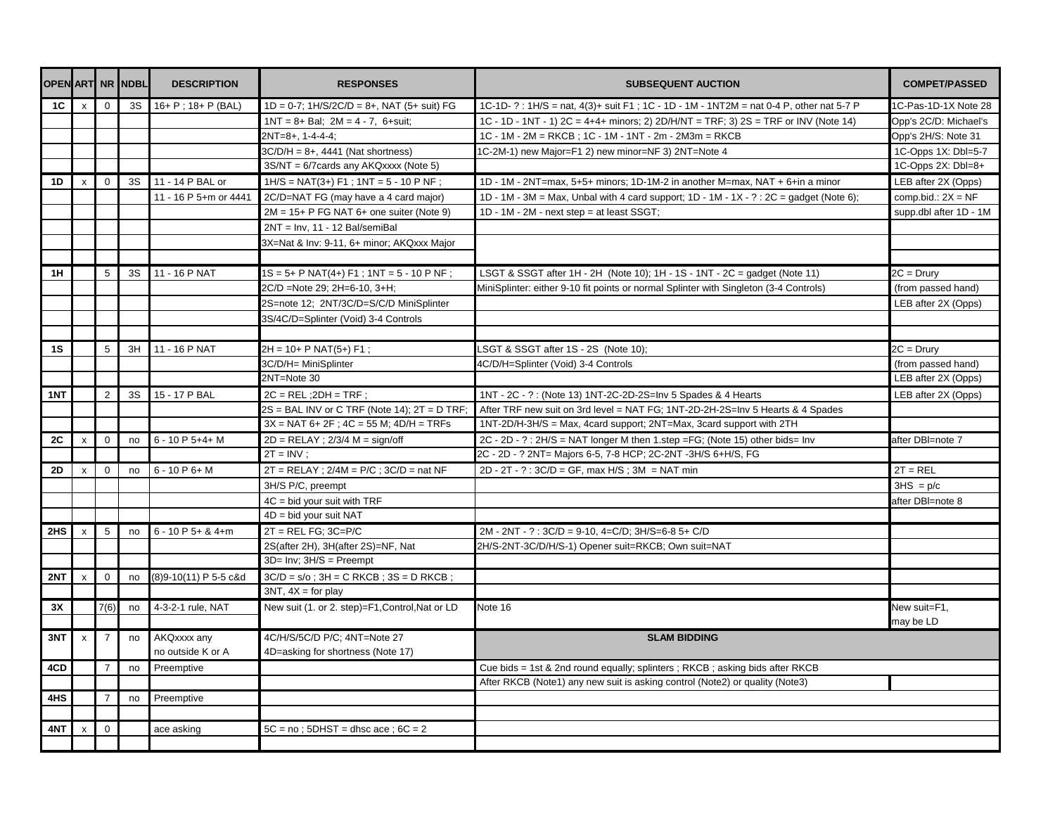|           |                |                | <b>OPEN ART NR NDBL</b> | <b>DESCRIPTION</b>      | <b>RESPONSES</b>                                 | <b>SUBSEQUENT AUCTION</b>                                                                | <b>COMPET/PASSED</b>   |
|-----------|----------------|----------------|-------------------------|-------------------------|--------------------------------------------------|------------------------------------------------------------------------------------------|------------------------|
| 1C        | x              | $\mathbf 0$    | 3S                      | $16+ P$ ; $18+ P$ (BAL) | $1D = 0-7$ ; $1H/S/2C/D = 8+$ , NAT (5+ suit) FG | 1C-1D- ? : 1H/S = nat, 4(3)+ suit F1 ; 1C - 1D - 1M - 1NT2M = nat 0-4 P, other nat 5-7 P | 1C-Pas-1D-1X Note 28   |
|           |                |                |                         |                         | $1NT = 8 + Bal$ ; $2M = 4 - 7$ , 6+suit;         | 1C - 1D - 1NT - 1) 2C = 4+4+ minors; 2) 2D/H/NT = TRF; 3) 2S = TRF or INV (Note 14)      | Opp's 2C/D: Michael's  |
|           |                |                |                         |                         | $2NT=8+, 1-4-4-4;$                               | 1C - 1M - 2M = RKCB; 1C - 1M - 1NT - 2m - 2M3m = RKCB                                    | Opp's 2H/S: Note 31    |
|           |                |                |                         |                         | $3C/D/H = 8+, 4441$ (Nat shortness)              | 1C-2M-1) new Major=F1 2) new minor=NF 3) 2NT=Note 4                                      | 1C-Opps 1X: Dbl=5-7    |
|           |                |                |                         |                         | 3S/NT = 6/7 cards any AKQxxxx (Note 5)           |                                                                                          | 1C-Opps 2X: Dbl=8+     |
| 1D        | $\mathsf{x}$   | $\mathbf 0$    | 3S                      | 11 - 14 P BAL or        | $1H/S = NAT(3+) F1$ ; $1NT = 5 - 10 P NF$ ;      | 1D - 1M - 2NT=max, 5+5+ minors; 1D-1M-2 in another M=max, NAT + 6+in a minor             | LEB after 2X (Opps)    |
|           |                |                |                         | 11 - 16 P 5+m or 4441   | 2C/D=NAT FG (may have a 4 card major)            | 1D - 1M - 3M = Max, Unbal with 4 card support; 1D - 1M - 1X - ? : 2C = gadget (Note 6);  | comp.bid.: $2X = NF$   |
|           |                |                |                         |                         | $2M = 15+ P$ FG NAT 6+ one suiter (Note 9)       | 1D - 1M - 2M - next step = at least SSGT;                                                | supp.dbl after 1D - 1M |
|           |                |                |                         |                         | $2NT = Inv$ , 11 - 12 Bal/semiBal                |                                                                                          |                        |
|           |                |                |                         |                         | 3X=Nat & Inv: 9-11, 6+ minor; AKQxxx Major       |                                                                                          |                        |
|           |                |                |                         |                         |                                                  |                                                                                          |                        |
| 1H        |                | 5              | 3S                      | 11 - 16 P NAT           | $1S = 5+ P NAT(4+) F1$ ; $1NT = 5 - 10 P NF$ ;   | LSGT & SSGT after 1H - 2H (Note 10); 1H - 1S - 1NT - 2C = gadget (Note 11)               | $2C = Drury$           |
|           |                |                |                         |                         | 2C/D =Note 29; 2H=6-10, 3+H;                     | MiniSplinter: either 9-10 fit points or normal Splinter with Singleton (3-4 Controls)    | (from passed hand)     |
|           |                |                |                         |                         | 2S=note 12; 2NT/3C/D=S/C/D MiniSplinter          |                                                                                          | LEB after 2X (Opps)    |
|           |                |                |                         |                         | 3S/4C/D=Splinter (Void) 3-4 Controls             |                                                                                          |                        |
|           |                |                |                         |                         |                                                  |                                                                                          |                        |
| 1S        |                | 5              | 3H                      | 11 - 16 P NAT           | $2H = 10+ P NAT(5+) F1$ ;                        | LSGT & SSGT after 1S - 2S (Note 10);                                                     | $2C = Drury$           |
|           |                |                |                         |                         | 3C/D/H= MiniSplinter                             | 4C/D/H=Splinter (Void) 3-4 Controls                                                      | (from passed hand)     |
|           |                |                |                         |                         | 2NT=Note 30                                      |                                                                                          | LEB after 2X (Opps)    |
| 1NT       |                | 2              | 3S                      | 15 - 17 P BAL           | $2C = REL$ ; $2DH = TRF$ ;                       | 1NT - 2C - ? : (Note 13) 1NT-2C-2D-2S=Inv 5 Spades & 4 Hearts                            | LEB after 2X (Opps)    |
|           |                |                |                         |                         | $2S = BAL$ INV or C TRF (Note 14); $2T = D$ TRF; | After TRF new suit on 3rd level = NAT FG; 1NT-2D-2H-2S=Inv 5 Hearts & 4 Spades           |                        |
|           |                |                |                         |                         | $3X = NAT 6 + 2F$ ; $4C = 55 M$ ; $4D/H = TRFs$  | 1NT-2D/H-3H/S = Max, 4card support; 2NT=Max, 3card support with 2TH                      |                        |
| 2C        | $\pmb{\times}$ | $\mathbf 0$    | no                      | $6 - 10P5+4+M$          | $2D = RELAY$ ; $2/3/4 M = sign/off$              | 2C - 2D - ? : 2H/S = NAT longer M then 1.step = FG; (Note 15) other bids = Inv           | after DBI=note 7       |
|           |                |                |                         |                         | $2T = INV$ :                                     | 2C - 2D - ? 2NT= Majors 6-5, 7-8 HCP; 2C-2NT -3H/S 6+H/S, FG                             |                        |
| <b>2D</b> | $\pmb{\times}$ | $\mathbf 0$    | no                      | $6 - 10P6 + M$          | $2T = RELAY$ ; $2/4M = P/C$ ; $3C/D = nat NF$    | $2D - 2T - ?$ : $3C/D = GF$ , max $H/S$ ; $3M = NAT$ min                                 | $2T = REL$             |
|           |                |                |                         |                         | 3H/S P/C, preempt                                |                                                                                          | $3HS = p/c$            |
|           |                |                |                         |                         | 4C = bid your suit with TRF                      |                                                                                          | after DBI=note 8       |
|           |                |                |                         |                         | $4D = bid$ your suit NAT                         |                                                                                          |                        |
| 2HS       | $\mathsf{x}$   | 5              | no                      | $6 - 10P5 + 84 + m$     | $2T = REL FG$ ; $3C = P/C$                       | 2M - 2NT - ?: 3C/D = 9-10, 4=C/D; 3H/S=6-8 5+ C/D                                        |                        |
|           |                |                |                         |                         | 2S(after 2H), 3H(after 2S)=NF, Nat               | 2H/S-2NT-3C/D/H/S-1) Opener suit=RKCB; Own suit=NAT                                      |                        |
|           |                |                |                         |                         | $3D=Inv$ ; $3H/S = Preempt$                      |                                                                                          |                        |
| 2NT       | $\mathsf{x}$   | $\mathbf 0$    | no                      | (8) 9-10 (11) P 5-5 c&d | $3C/D = s/o$ ; $3H = C$ RKCB; $3S = D$ RKCB;     |                                                                                          |                        |
|           |                |                |                         |                         | $3NT, 4X = for play$                             |                                                                                          |                        |
| 3X        |                | 7(6)           | no                      | 4-3-2-1 rule, NAT       | New suit (1. or 2. step)=F1, Control, Nat or LD  | Note 16                                                                                  | New suit=F1,           |
|           |                |                |                         |                         |                                                  |                                                                                          | may be LD              |
| 3NT       | $\mathsf{x}$   | $\overline{7}$ | no                      | AKQxxxx any             | 4C/H/S/5C/D P/C; 4NT=Note 27                     | <b>SLAM BIDDING</b>                                                                      |                        |
|           |                |                |                         | no outside K or A       | 4D=asking for shortness (Note 17)                |                                                                                          |                        |
| 4CD       |                | $\overline{7}$ | no                      | Preemptive              |                                                  | Cue bids = 1st & 2nd round equally; splinters; RKCB; asking bids after RKCB              |                        |
|           |                |                |                         |                         |                                                  | After RKCB (Note1) any new suit is asking control (Note2) or quality (Note3)             |                        |
| 4HS       |                | $\overline{7}$ | no                      | Preemptive              |                                                  |                                                                                          |                        |
|           |                |                |                         |                         |                                                  |                                                                                          |                        |
| 4NT       | X              | $\mathbf 0$    |                         | ace asking              | $5C = no$ ; $5DHST = dhsc ace$ ; $6C = 2$        |                                                                                          |                        |
|           |                |                |                         |                         |                                                  |                                                                                          |                        |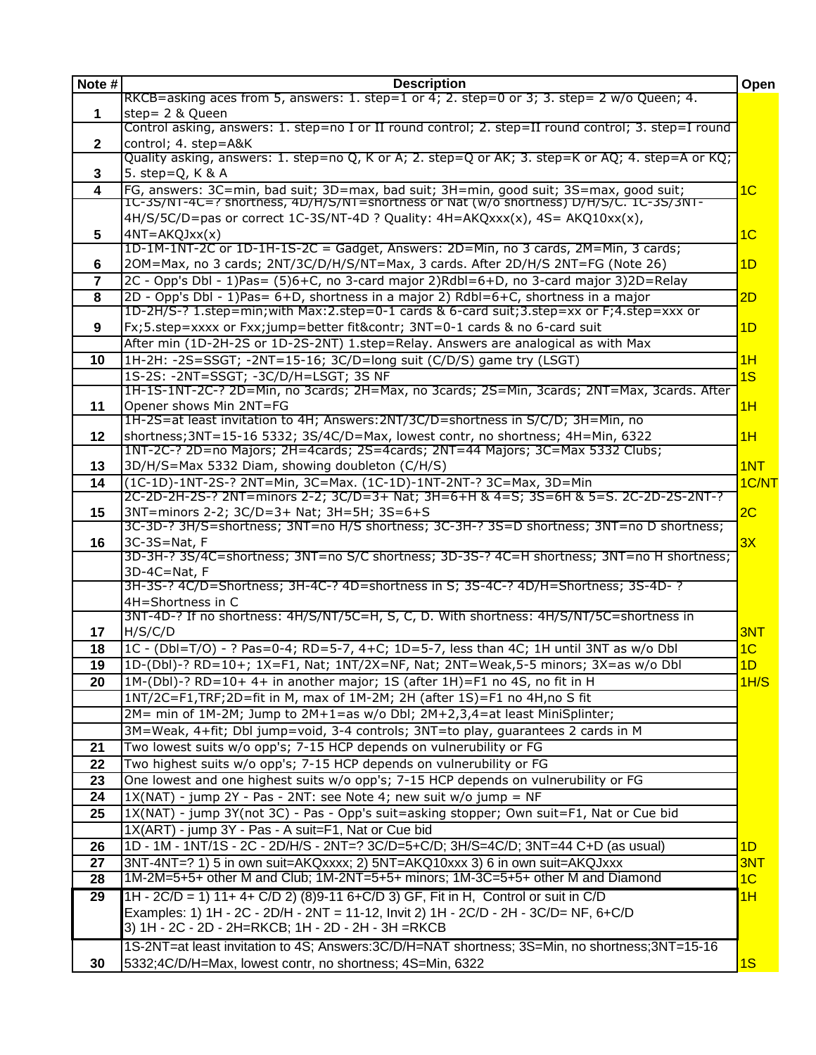| Note #       | <b>Description</b>                                                                                                                                                 | Open           |
|--------------|--------------------------------------------------------------------------------------------------------------------------------------------------------------------|----------------|
|              | RKCB=asking aces from 5, answers: 1. step=1 or 4; 2. step=0 or 3; 3. step= 2 w/o Queen; 4.                                                                         |                |
| $\mathbf 1$  | step= 2 & Queen<br>Control asking, answers: 1. step=no I or II round control; 2. step=II round control; 3. step=I round                                            |                |
| $\mathbf{2}$ | control; 4. step=A&K                                                                                                                                               |                |
|              | Quality asking, answers: 1. step=no Q, K or A; 2. step=Q or AK; 3. step=K or AQ; 4. step=A or KQ;                                                                  |                |
| 3            | 5. step=Q, K & A                                                                                                                                                   |                |
| 4            | FG, answers: 3C=min, bad suit; 3D=max, bad suit; 3H=min, good suit; 3S=max, good suit;                                                                             | 1 <sub>C</sub> |
|              | 1C-3S/N1-4C=? shortness, 4D/H/S/N1=shortness or Nat (w/o shortness) D/H/S/C. 1C-3S/3N1-                                                                            |                |
|              | 4H/S/5C/D=pas or correct 1C-3S/NT-4D ? Quality: 4H=AKQxxx(x), 4S= AKQ10xx(x),                                                                                      |                |
| 5            | $4NT = AKQJxx(x)$<br>1D-1M-1NT-2C or 1D-1H-1S-2C = Gadget, Answers: 2D=Min, no 3 cards, 2M=Min, 3 cards;                                                           | 1 <sub>C</sub> |
| 6            | 20M=Max, no 3 cards; 2NT/3C/D/H/S/NT=Max, 3 cards. After 2D/H/S 2NT=FG (Note 26)                                                                                   | 1D             |
| 7            | 2C - Opp's Dbl - 1)Pas= (5)6+C, no 3-card major 2)Rdbl=6+D, no 3-card major 3)2D=Relay                                                                             |                |
| 8            | 2D - Opp's Dbl - 1)Pas= 6+D, shortness in a major 2) Rdbl=6+C, shortness in a major                                                                                | 2D             |
|              | 1D-2H/S-? 1.step=min; with Max: 2.step=0-1 cards & 6-card suit; 3.step=xx or F; 4.step=xxx or                                                                      |                |
| 9            | Fx;5.step=xxxx or Fxx;jump=better fit&contr 3NT=0-1 cards & no 6-card suit                                                                                         | 1 <sub>D</sub> |
|              | After min (1D-2H-2S or 1D-2S-2NT) 1.step=Relay. Answers are analogical as with Max                                                                                 |                |
| 10           | 1H-2H: -2S=SSGT; -2NT=15-16; 3C/D=long suit (C/D/S) game try (LSGT)                                                                                                | 1H             |
|              | 1S-2S: -2NT=SSGT; -3C/D/H=LSGT; 3S NF                                                                                                                              | 1S             |
|              | 1H-1S-1NT-2C-? 2D=Min, no 3cards; 2H=Max, no 3cards; 2S=Min, 3cards; 2NT=Max, 3cards. After                                                                        |                |
| 11           | Opener shows Min 2NT=FG                                                                                                                                            | 1H             |
|              | 1H-2S=at least invitation to 4H; Answers: 2NT/3C/D=shortness in S/C/D; 3H=Min, no                                                                                  |                |
| $12 \,$      | shortness; 3NT=15-16 5332; 3S/4C/D=Max, lowest contr, no shortness; 4H=Min, 6322<br>1NT-2C-? 2D=no Majors; 2H=4cards; 2S=4cards; 2NT=44 Majors; 3C=Max 5332 Clubs; | 1H             |
| 13           | 3D/H/S=Max 5332 Diam, showing doubleton (C/H/S)                                                                                                                    | 1NT            |
| 14           | (1C-1D)-1NT-2S-? 2NT=Min, 3C=Max. (1C-1D)-1NT-2NT-? 3C=Max, 3D=Min                                                                                                 | 1C/NT          |
|              | 2C-2D-2H-2S-? 2NT=minors 2-2; 3C/D=3+ Nat; 3H=6+H & 4=S; 3S=6H & 5=S. 2C-2D-2S-2NT-?                                                                               |                |
| 15           | 3NT=minors 2-2; 3C/D=3+ Nat; 3H=5H; 3S=6+S                                                                                                                         | 2C             |
|              | 3C-3D-? 3H/S=shortness; 3NT=no H/S shortness; 3C-3H-? 3S=D shortness; 3NT=no D shortness;                                                                          |                |
| 16           | 3C-3S=Nat, F<br>3D-3H-? 3S/4C=shortness; 3NT=no S/C shortness; 3D-3S-? 4C=H shortness; 3NT=no H shortness;                                                         | 3X             |
|              | 3D-4C=Nat, F                                                                                                                                                       |                |
|              | 3H-3S-? 4C/D=Shortness; 3H-4C-? 4D=shortness in S; 3S-4C-? 4D/H=Shortness; 3S-4D-?                                                                                 |                |
|              | 4H=Shortness in C                                                                                                                                                  |                |
|              | 3NT-4D-? If no shortness: 4H/S/NT/5C=H, S, C, D. With shortness: 4H/S/NT/5C=shortness in                                                                           |                |
| 17           | H/S/C/D                                                                                                                                                            | 3NT            |
| 18           | 1C - (Dbl=T/O) - ? Pas=0-4; RD=5-7, 4+C; 1D=5-7, less than 4C; 1H until 3NT as w/o Dbl                                                                             | 1 <sub>C</sub> |
| 19           | 1D-(Dbl)-? RD=10+; 1X=F1, Nat; 1NT/2X=NF, Nat; 2NT=Weak,5-5 minors; 3X=as w/o Dbl                                                                                  | 1D             |
| 20           | 1M-(Dbl)-? RD=10+ 4+ in another major; 1S (after 1H)=F1 no 4S, no fit in H                                                                                         | 1H/S           |
|              | 1NT/2C=F1,TRF;2D=fit in M, max of 1M-2M; 2H (after 1S)=F1 no 4H, no S fit                                                                                          |                |
|              | 2M= min of 1M-2M; Jump to 2M+1=as w/o Dbl; 2M+2,3,4=at least MiniSplinter;                                                                                         |                |
|              | 3M=Weak, 4+fit; Dbl jump=void, 3-4 controls; 3NT=to play, guarantees 2 cards in M<br>Two lowest suits w/o opp's; 7-15 HCP depends on vulnerubility or FG           |                |
| 21<br>22     | Two highest suits w/o opp's; 7-15 HCP depends on vulnerubility or FG                                                                                               |                |
| 23           | One lowest and one highest suits w/o opp's; 7-15 HCP depends on vulnerubility or FG                                                                                |                |
| 24           | $1X(NAT)$ - jump 2Y - Pas - 2NT: see Note 4; new suit w/o jump = NF                                                                                                |                |
| 25           | 1X(NAT) - jump 3Y(not 3C) - Pas - Opp's suit=asking stopper; Own suit=F1, Nat or Cue bid                                                                           |                |
|              | 1X(ART) - jump 3Y - Pas - A suit=F1, Nat or Cue bid                                                                                                                |                |
| 26           | 1D - 1M - 1NT/1S - 2C - 2D/H/S - 2NT=? 3C/D=5+C/D; 3H/S=4C/D; 3NT=44 C+D (as usual)                                                                                | 1D             |
| 27           | 3NT-4NT=? 1) 5 in own suit=AKQxxxx; 2) 5NT=AKQ10xxx 3) 6 in own suit=AKQJxxx                                                                                       | 3NT            |
| 28           | 1M-2M=5+5+ other M and Club; 1M-2NT=5+5+ minors; 1M-3C=5+5+ other M and Diamond                                                                                    | 1 <sub>C</sub> |
| 29           | 1H - 2C/D = 1) 11+ 4+ C/D 2) (8)9-11 6+C/D 3) GF, Fit in H, Control or suit in C/D                                                                                 | 1H             |
|              | Examples: 1) 1H - 2C - 2D/H - 2NT = 11-12, Invit 2) 1H - 2C/D - 2H - 3C/D= NF, 6+C/D                                                                               |                |
|              | 3) 1H - 2C - 2D - 2H=RKCB; 1H - 2D - 2H - 3H =RKCB                                                                                                                 |                |
|              | 1S-2NT=at least invitation to 4S; Answers: 3C/D/H=NAT shortness; 3S=Min, no shortness; 3NT=15-16                                                                   |                |
| 30           | 5332;4C/D/H=Max, lowest contr, no shortness; 4S=Min, 6322                                                                                                          | 1S             |
|              |                                                                                                                                                                    |                |